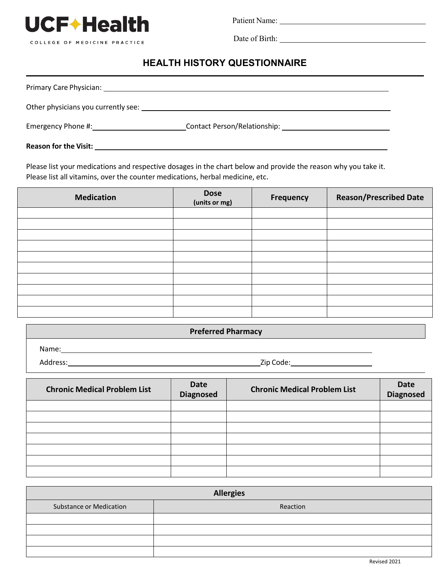

COLLEGE OF MEDICINE PRACTICE

Patient Name:

Date of Birth:

## **HEALTH HISTORY QUESTIONNAIRE**

| Other physicians you currently see: 1997 |                                                              |  |
|------------------------------------------|--------------------------------------------------------------|--|
| Emergency Phone #:                       | Contact Person/Relationship: example and the contract Person |  |
| <b>Reason for the Visit:</b>             |                                                              |  |

Please list your medications and respective dosages in the chart below and provide the reason why you take it. Please list all vitamins, over the counter medications, herbal medicine, etc.

| <b>Medication</b> | <b>Dose</b><br>(units or mg) | Frequency | <b>Reason/Prescribed Date</b> |
|-------------------|------------------------------|-----------|-------------------------------|
|                   |                              |           |                               |
|                   |                              |           |                               |
|                   |                              |           |                               |
|                   |                              |           |                               |
|                   |                              |           |                               |
|                   |                              |           |                               |
|                   |                              |           |                               |
|                   |                              |           |                               |
|                   |                              |           |                               |
|                   |                              |           |                               |

| <b>Preferred Pharmacy</b> |           |  |  |
|---------------------------|-----------|--|--|
| Name:                     |           |  |  |
| Address:                  | Zip Code: |  |  |

| <b>Chronic Medical Problem List</b> | <b>Date</b><br><b>Diagnosed</b> | <b>Chronic Medical Problem List</b> | <b>Date</b><br>Diagnosed |
|-------------------------------------|---------------------------------|-------------------------------------|--------------------------|
|                                     |                                 |                                     |                          |
|                                     |                                 |                                     |                          |
|                                     |                                 |                                     |                          |
|                                     |                                 |                                     |                          |
|                                     |                                 |                                     |                          |
|                                     |                                 |                                     |                          |
|                                     |                                 |                                     |                          |

| <b>Allergies</b>               |          |  |  |
|--------------------------------|----------|--|--|
| <b>Substance or Medication</b> | Reaction |  |  |
|                                |          |  |  |
|                                |          |  |  |
|                                |          |  |  |
|                                |          |  |  |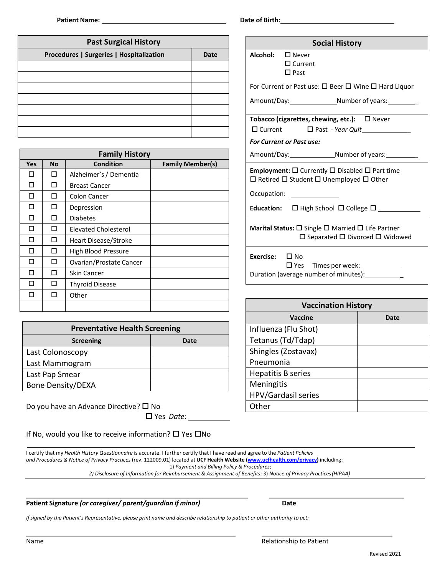| <b>Past Surgical History</b>             |      |  |  |
|------------------------------------------|------|--|--|
| Procedures   Surgeries   Hospitalization | Date |  |  |
|                                          |      |  |  |
|                                          |      |  |  |
|                                          |      |  |  |
|                                          |      |  |  |
|                                          |      |  |  |
|                                          |      |  |  |
|                                          |      |  |  |

| <b>Family History</b> |           |                         |                         |  |
|-----------------------|-----------|-------------------------|-------------------------|--|
| <b>Yes</b>            | <b>No</b> | <b>Condition</b>        | <b>Family Member(s)</b> |  |
| П                     | п         | Alzheimer's / Dementia  |                         |  |
| П                     | п         | <b>Breast Cancer</b>    |                         |  |
| П                     | п         | Colon Cancer            |                         |  |
| П                     | п         | Depression              |                         |  |
| П                     | п         | <b>Diabetes</b>         |                         |  |
| п                     | п         | Elevated Cholesterol    |                         |  |
| п                     | п         | Heart Disease/Stroke    |                         |  |
| п                     | п         | High Blood Pressure     |                         |  |
| П                     | п         | Ovarian/Prostate Cancer |                         |  |
| п                     | п         | Skin Cancer             |                         |  |
|                       | п         | <b>Thyroid Disease</b>  |                         |  |
|                       | П         | Other                   |                         |  |
|                       |           |                         |                         |  |

| <b>Preventative Health Screening</b> |      |  |  |  |
|--------------------------------------|------|--|--|--|
| <b>Screening</b>                     | Date |  |  |  |
| Last Colonoscopy                     |      |  |  |  |
| Last Mammogram                       |      |  |  |  |
| Last Pap Smear                       |      |  |  |  |
| <b>Bone Density/DEXA</b>             |      |  |  |  |

Do you have an Advance Directive?  $\square$  No Yes *Date*:

If No, would you like to receive information?  $\Box$  Yes  $\Box$  No

I certify that my *Health History Questionnaire* is accurate. I further certify that I have read and agree to the *Patient Policies and Procedures & Notice of Privacy Practices* (rev. 122009.01) located at **UCF Health Website [\(www.ucfhealth.com/privacy\)](http://www.ucfhealth.com/)** including: 1) *Payment and Billing Policy & Procedures*;

*2) Disclosure of Information for Reimbursement & Assignment of Benefits*; 3) *Notice of Privacy Practices(HIPAA)*

#### **Patient Signature** *(or caregiver/ parent/guardian if minor)* **Date**

If signed by the Patient's Representative, please print name and describe relationship to patient or other authority to act:

**Date of Birth:**

|                                                                                                                      | <b>Social History</b>                                                                                                                         |  |  |
|----------------------------------------------------------------------------------------------------------------------|-----------------------------------------------------------------------------------------------------------------------------------------------|--|--|
| Alcohol:<br>$\square$ Never<br>$\Box$ Current<br>$\square$ Past                                                      |                                                                                                                                               |  |  |
|                                                                                                                      | For Current or Past use: $\square$ Beer $\square$ Wine $\square$ Hard Liquor                                                                  |  |  |
|                                                                                                                      | Amount/Day: Number of years:                                                                                                                  |  |  |
|                                                                                                                      | Tobacco (cigarettes, chewing, etc.): □ Never                                                                                                  |  |  |
|                                                                                                                      | $\Box$ Current $\Box$ Past - Year Quit                                                                                                        |  |  |
| <b>For Current or Past use:</b>                                                                                      |                                                                                                                                               |  |  |
|                                                                                                                      |                                                                                                                                               |  |  |
|                                                                                                                      | <b>Employment:</b> $\square$ Currently $\square$ Disabled $\square$ Part time<br>$\Box$ Retired $\Box$ Student $\Box$ Unemployed $\Box$ Other |  |  |
| Occupation: <u>________________</u>                                                                                  |                                                                                                                                               |  |  |
|                                                                                                                      | <b>Education:</b> $\Box$ High School $\Box$ College $\Box$                                                                                    |  |  |
| <b>Marital Status:</b> $\square$ Single $\square$ Married $\square$ Life Partner<br>□ Separated □ Divorced □ Widowed |                                                                                                                                               |  |  |
| <b>Exercise:</b> $\Box$ No                                                                                           | □ Yes Times per week: ___________<br>Duration (average number of minutes): <u>contact</u>                                                     |  |  |

| <b>Vaccination History</b> |      |  |  |  |
|----------------------------|------|--|--|--|
| Vaccine                    | Date |  |  |  |
| Influenza (Flu Shot)       |      |  |  |  |
| Tetanus (Td/Tdap)          |      |  |  |  |
| Shingles (Zostavax)        |      |  |  |  |
| Pneumonia                  |      |  |  |  |
| <b>Hepatitis B series</b>  |      |  |  |  |
| Meningitis                 |      |  |  |  |
| HPV/Gardasil series        |      |  |  |  |
| Other                      |      |  |  |  |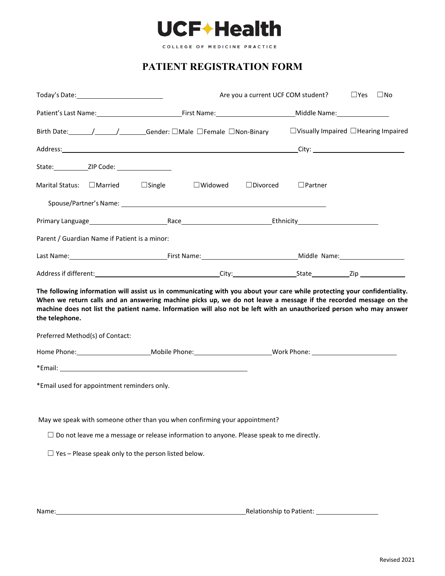

COLLEGE OF MEDICINE PRACTICE

# **PATIENT REGISTRATION FORM**

|                                                                                                                                                                                                                                                                                               |                                                                                                    | $\square$ Yes<br>$\Box$ No<br>Are you a current UCF COM student? |                |                                                  |  |
|-----------------------------------------------------------------------------------------------------------------------------------------------------------------------------------------------------------------------------------------------------------------------------------------------|----------------------------------------------------------------------------------------------------|------------------------------------------------------------------|----------------|--------------------------------------------------|--|
|                                                                                                                                                                                                                                                                                               |                                                                                                    |                                                                  |                |                                                  |  |
|                                                                                                                                                                                                                                                                                               | Birth Date: / / / Gender: □Male □Female □Non-Binary                                                |                                                                  |                | $\Box$ Visually Impaired $\Box$ Hearing Impaired |  |
|                                                                                                                                                                                                                                                                                               |                                                                                                    |                                                                  |                |                                                  |  |
|                                                                                                                                                                                                                                                                                               |                                                                                                    |                                                                  |                |                                                  |  |
| $\Box$ Married<br><b>Marital Status:</b>                                                                                                                                                                                                                                                      | $\Box$ Single<br>$\Box$ Widowed                                                                    | $\Box$ Divorced                                                  | $\Box$ Partner |                                                  |  |
|                                                                                                                                                                                                                                                                                               |                                                                                                    |                                                                  |                |                                                  |  |
| Primary Language 2010 - The Race The Race Connective Connective Connective Connective Connective Connective Connective Connective Connective Connective Connective Connective Connective Connective Connective Connective Conn                                                                |                                                                                                    |                                                                  |                |                                                  |  |
| Parent / Guardian Name if Patient is a minor:                                                                                                                                                                                                                                                 |                                                                                                    |                                                                  |                |                                                  |  |
|                                                                                                                                                                                                                                                                                               |                                                                                                    |                                                                  |                |                                                  |  |
|                                                                                                                                                                                                                                                                                               |                                                                                                    |                                                                  |                |                                                  |  |
| When we return calls and an answering machine picks up, we do not leave a message if the recorded message on the<br>machine does not list the patient name. Information will also not be left with an unauthorized person who may answer<br>the telephone.<br>Preferred Method(s) of Contact: |                                                                                                    |                                                                  |                |                                                  |  |
| Home Phone: ____________________________Mobile Phone: __________________________Work Phone: __________________                                                                                                                                                                                |                                                                                                    |                                                                  |                |                                                  |  |
| *Email: <b>Example 2018 Contract Contract Contract Contract Contract Contract Contract Contract Contract Contract Contract Contract Contract Contract Contract Contract Contract Contract Contract Contract Contract Contract </b><br>*Email used for appointment reminders only.             |                                                                                                    |                                                                  |                |                                                  |  |
| May we speak with someone other than you when confirming your appointment?                                                                                                                                                                                                                    |                                                                                                    |                                                                  |                |                                                  |  |
|                                                                                                                                                                                                                                                                                               | $\square$ Do not leave me a message or release information to anyone. Please speak to me directly. |                                                                  |                |                                                  |  |
| $\Box$ Yes - Please speak only to the person listed below.                                                                                                                                                                                                                                    |                                                                                                    |                                                                  |                |                                                  |  |
|                                                                                                                                                                                                                                                                                               |                                                                                                    |                                                                  |                |                                                  |  |
|                                                                                                                                                                                                                                                                                               |                                                                                                    |                                                                  |                |                                                  |  |

Name: Relationship to Patient: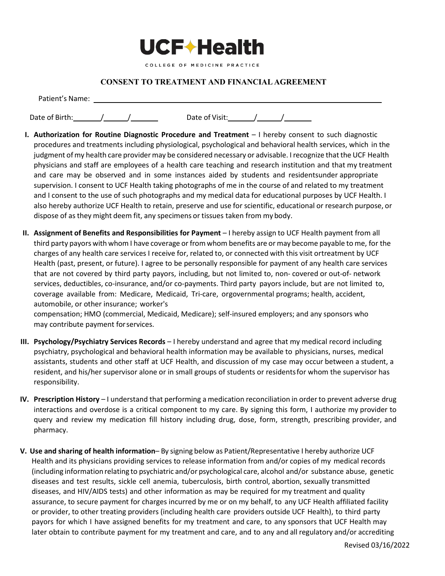

#### **CONSENT TO TREATMENT AND FINANCIAL AGREEMENT**

| Patient's Name: |  |                |  |  |
|-----------------|--|----------------|--|--|
| Date of Birth:  |  | Date of Visit: |  |  |

- **I. Authorization for Routine Diagnostic Procedure and Treatment** I hereby consent to such diagnostic procedures and treatments including physiological, psychological and behavioral health services, which in the judgment of my health care provider may be considered necessary or advisable. I recognize that the UCF Health physicians and staff are employees of a health care teaching and research institution and that my treatment and care may be observed and in some instances aided by students and residentsunder appropriate supervision. I consent to UCF Health taking photographs of me in the course of and related to my treatment and I consent to the use of such photographs and my medical data for educational purposes by UCF Health. I also hereby authorize UCF Health to retain, preserve and use for scientific, educational or research purpose, or dispose of as they might deem fit, any specimens or tissues taken from my body.
- **II. Assignment of Benefits and Responsibilities for Payment**  I hereby assign to UCF Health payment from all third party payors with whom I have coverage or from whom benefits are or may become payable to me, for the charges of any health care services I receive for, related to, or connected with this visit ortreatment by UCF Health (past, present, or future). I agree to be personally responsible for payment of any health care services that are not covered by third party payors, including, but not limited to, non- covered or out-of- network services, deductibles, co-insurance, and/or co-payments. Third party payors include, but are not limited to, coverage available from: Medicare, Medicaid, Tri-care, orgovernmental programs; health, accident, automobile, or other insurance; worker's

compensation; HMO (commercial, Medicaid, Medicare); self-insured employers; and any sponsors who may contribute payment forservices.

- **III. Psychology/Psychiatry Services Records**  I hereby understand and agree that my medical record including psychiatry, psychological and behavioral health information may be available to physicians, nurses, medical assistants, students and other staff at UCF Health, and discussion of my case may occur between a student, a resident, and his/her supervisor alone or in small groups of students or residentsfor whom the supervisor has responsibility.
- **IV. Prescription History** I understand that performing a medication reconciliation in order to prevent adverse drug interactions and overdose is a critical component to my care. By signing this form, I authorize my provider to query and review my medication fill history including drug, dose, form, strength, prescribing provider, and pharmacy.
- **V. Use and sharing of health information** By signing below as Patient/Representative I hereby authorize UCF Health and its physicians providing services to release information from and/or copies of my medical records (including informationrelating to psychiatric and/or psychological care, alcohol and/or substance abuse, genetic diseases and test results, sickle cell anemia, tuberculosis, birth control, abortion, sexually transmitted diseases, and HIV/AIDS tests) and other information as may be required for my treatment and quality assurance, to secure payment for charges incurred by me or on my behalf, to any UCF Health affiliated facility or provider, to other treating providers (including health care providers outside UCF Health), to third party payors for which I have assigned benefits for my treatment and care, to any sponsors that UCF Health may later obtain to contribute payment for my treatment and care, and to any and all regulatory and/or accrediting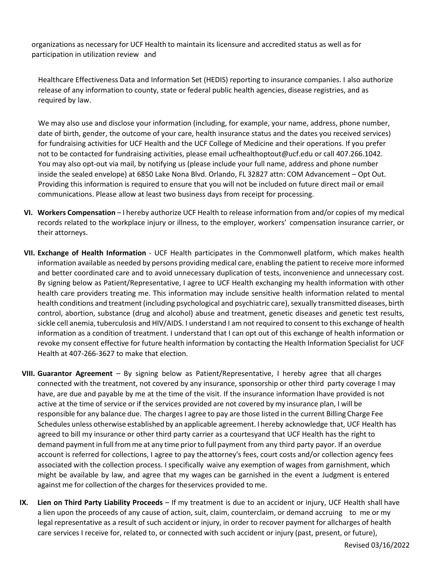organizations as necessary for UCF Health to maintain its licensure and accredited status as well as for participation in utilization review and

Healthcare Effectiveness Data and Information Set (HEDIS) reporting to insurance companies. I also authorize release of any information to county, state or federal public health agencies, disease registries, and as required by law.

We may also use and disclose your information (including, for example, your name, address, phone number, date of birth, gender, the outcome of your care, health insurance status and the dates you received services) for fundraising activities for UCF Health and the UCF College of Medicine and their operations. If you prefer not to be contacted for fundraising activities, please email ucfhealthoptout@ucf.edu or call 407.266.1042. You may also opt-out via mail, by notifying us (please include your full name, address and phone number inside the sealed envelope) at 6850 Lake Nona Blvd. Orlando, FL 32827 attn: COM Advancement – Opt Out. Providing this information is required to ensure that you will not be included on future direct mail or email communications. Please allow at least two business days from receipt for processing.

- **VI. Workers Compensation**  I hereby authorize UCF Health to release information from and/or copies of my medical records related to the workplace injury or illness, to the employer, workers' compensation insurance carrier, or their attorneys.
- **VII. Exchange of Health Information** UCF Health participates in the Commonwell platform, which makes health information available as needed by persons providing medical care, enabling the patient to receive more informed and better coordinated care and to avoid unnecessary duplication of tests, inconvenience and unnecessary cost. By signing below as Patient/Representative, I agree to UCF Health exchanging my health information with other health care providers treating me. This information may include sensitive health information related to mental health conditions and treatment (including psychological and psychiatric care), sexually transmitted diseases, birth control, abortion, substance (drug and alcohol) abuse and treatment, genetic diseases and genetic test results, sickle cell anemia, tuberculosis and HIV/AIDS. I understand I am not required to consent to this exchange of health information as a condition of treatment. I understand that I can opt out of this exchange of health information or revoke my consent effective for future health information by contacting the Health Information Specialist for UCF Health at 407-266-3627 to make that election.
- **VIII. Guarantor Agreement**  By signing below as Patient/Representative, I hereby agree that all charges connected with the treatment, not covered by any insurance, sponsorship or other third party coverage I may have, are due and payable by me at the time of the visit. If the insurance information Ihave provided is not active at the time of service or if the services provided are not covered by my insurance plan, I will be responsible for any balance due. The charges I agree to pay are those listed in the current Billing Charge Fee Schedules unless otherwise established by an applicable agreement. I hereby acknowledge that, UCF Health has agreed to bill my insurance or other third party carrier as a courtesyand that UCF Health has the right to demand paymentin full fromme at any time priorto full payment from any third party payor. If an overdue account is referred for collections, I agree to pay theattorney's fees, court costs and/or collection agency fees associated with the collection process. I specifically waive any exemption of wages from garnishment, which might be available by law, and agree that my wages can be garnished in the event a Judgment is entered against me for collection of the charges for theservices provided to me.
- **IX. Lien on Third Party Liability Proceeds** If my treatment is due to an accident or injury, UCF Health shall have a lien upon the proceeds of any cause of action, suit, claim, counterclaim, or demand accruing to me or my legal representative as a result of such accident or injury, in order to recover payment for allcharges of health care services I receive for, related to, or connected with such accident or injury (past, present, or future),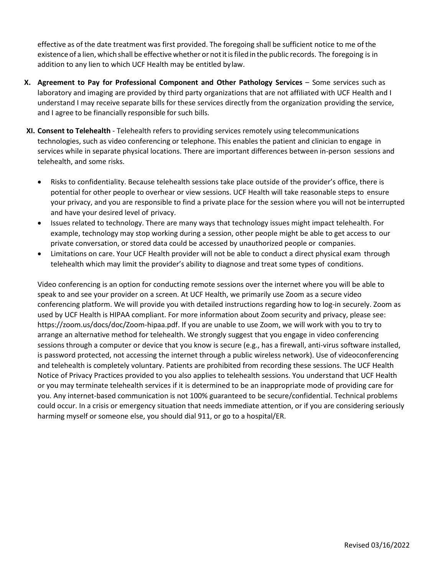effective as of the date treatment was first provided. The foregoing shall be sufficient notice to me ofthe existence of a lien, which shall be effective whether or not it is filed in the public records. The foregoing is in addition to any lien to which UCF Health may be entitled bylaw.

- **X. Agreement to Pay for Professional Component and Other Pathology Services** Some services such as laboratory and imaging are provided by third party organizations that are not affiliated with UCF Health and I understand I may receive separate bills for these services directly from the organization providing the service, and I agree to be financially responsible for such bills.
- **XI. Consent to Telehealth**  Telehealth refers to providing services remotely using telecommunications technologies, such as video conferencing or telephone. This enables the patient and clinician to engage in services while in separate physical locations. There are important differences between in-person sessions and telehealth, and some risks.
	- Risks to confidentiality. Because telehealth sessions take place outside of the provider's office, there is potential for other people to overhear or view sessions. UCF Health will take reasonable steps to ensure your privacy, and you are responsible to find a private place for the session where you will not be interrupted and have your desired level of privacy.
	- Issues related to technology. There are many ways that technology issues might impact telehealth. For example, technology may stop working during a session, other people might be able to get access to our private conversation, or stored data could be accessed by unauthorized people or companies.
	- Limitations on care. Your UCF Health provider will not be able to conduct a direct physical exam through telehealth which may limit the provider's ability to diagnose and treat some types of conditions.

Video conferencing is an option for conducting remote sessions over the internet where you will be able to speak to and see your provider on a screen. At UCF Health, we primarily use Zoom as a secure video conferencing platform. We will provide you with detailed instructions regarding how to log-in securely. Zoom as used by UCF Health is HIPAA compliant. For more information about Zoom security and privacy, please see: https://zoom.us/docs/doc/Zoom-hipaa.pdf. If you are unable to use Zoom, we will work with you to try to arrange an alternative method for telehealth. We strongly suggest that you engage in video conferencing sessions through a computer or device that you know is secure (e.g., has a firewall, anti-virus software installed, is password protected, not accessing the internet through a public wireless network). Use of videoconferencing and telehealth is completely voluntary. Patients are prohibited from recording these sessions. The UCF Health Notice of Privacy Practices provided to you also applies to telehealth sessions. You understand that UCF Health or you may terminate telehealth services if it is determined to be an inappropriate mode of providing care for you. Any internet-based communication is not 100% guaranteed to be secure/confidential. Technical problems could occur. In a crisis or emergency situation that needs immediate attention, or if you are considering seriously harming myself or someone else, you should dial 911, or go to a hospital/ER.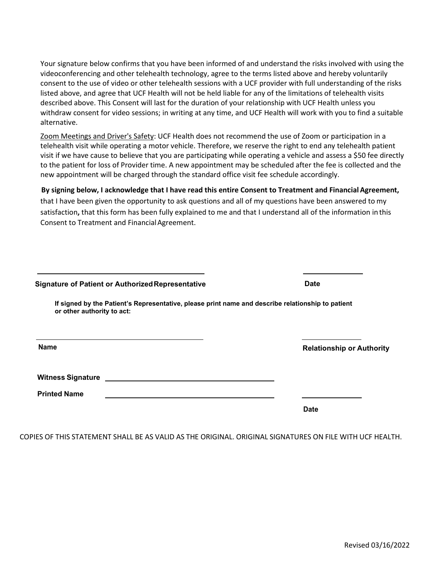Your signature below confirms that you have been informed of and understand the risks involved with using the videoconferencing and other telehealth technology, agree to the terms listed above and hereby voluntarily consent to the use of video or other telehealth sessions with a UCF provider with full understanding of the risks listed above, and agree that UCF Health will not be held liable for any of the limitations of telehealth visits described above. This Consent will last for the duration of your relationship with UCF Health unless you withdraw consent for video sessions; in writing at any time, and UCF Health will work with you to find a suitable alternative.

Zoom Meetings and Driver's Safety: UCF Health does not recommend the use of Zoom or participation in a telehealth visit while operating a motor vehicle. Therefore, we reserve the right to end any telehealth patient visit if we have cause to believe that you are participating while operating a vehicle and assess a \$50 fee directly to the patient for loss of Provider time. A new appointment may be scheduled after the fee is collected and the new appointment will be charged through the standard office visit fee schedule accordingly.

### **By signing below, I acknowledge that I have read this entire Consent to Treatment and Financial Agreement,**

that I have been given the opportunity to ask questions and all of my questions have been answered to my satisfaction**,** that this form has been fully explained to me and that I understand all of the information inthis Consent to Treatment and Financial Agreement.

| <b>Signature of Patient or Authorized Representative</b>                                                                                                                                                                       | <b>Date</b>                      |
|--------------------------------------------------------------------------------------------------------------------------------------------------------------------------------------------------------------------------------|----------------------------------|
| If signed by the Patient's Representative, please print name and describe relationship to patient<br>or other authority to act:                                                                                                |                                  |
| <b>Name</b>                                                                                                                                                                                                                    | <b>Relationship or Authority</b> |
| Witness Signature Lawrence and Contract and Contract of the United States and Contract and Contract of the United States and Contract and Contract of the United States and Contract and Contract of the United States and Con |                                  |
| <b>Printed Name</b>                                                                                                                                                                                                            |                                  |
|                                                                                                                                                                                                                                | <b>Date</b>                      |

COPIES OF THIS STATEMENT SHALL BE AS VALID AS THE ORIGINAL. ORIGINAL SIGNATURES ON FILE WITH UCF HEALTH.